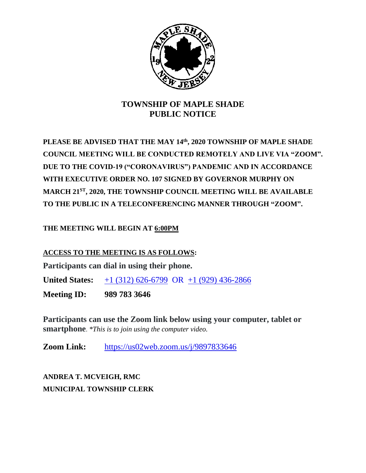

## **TOWNSHIP OF MAPLE SHADE PUBLIC NOTICE**

**PLEASE BE ADVISED THAT THE MAY 14th, 2020 TOWNSHIP OF MAPLE SHADE COUNCIL MEETING WILL BE CONDUCTED REMOTELY AND LIVE VIA "ZOOM". DUE TO THE COVID-19 ("CORONAVIRUS") PANDEMIC AND IN ACCORDANCE WITH EXECUTIVE ORDER NO. 107 SIGNED BY GOVERNOR MURPHY ON MARCH 21ST, 2020, THE TOWNSHIP COUNCIL MEETING WILL BE AVAILABLE TO THE PUBLIC IN A TELECONFERENCING MANNER THROUGH "ZOOM".**

### **THE MEETING WILL BEGIN AT 6:00PM**

#### **ACCESS TO THE MEETING IS AS FOLLOWS:**

**Participants can dial in using their phone.**

**United States:** [+1 \(312\) 626-6799](tel:+16467493122,,718898005) OR +1 (929) 436-2866

**Meeting ID: 989 783 3646**

**Participants can use the Zoom link below using your computer, tablet or smartphone**. *\*This is to join using the computer video.*

**Zoom Link:** <https://us02web.zoom.us/j/9897833646>

**ANDREA T. MCVEIGH, RMC MUNICIPAL TOWNSHIP CLERK**